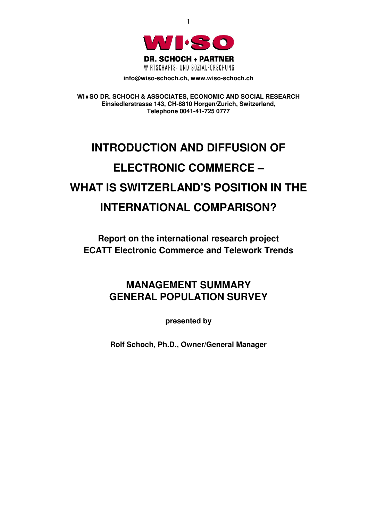

1

**info@wiso-schoch.ch, www.wiso-schoch.ch** 

**WI**♦**SO DR. SCHOCH & ASSOCIATES, ECONOMIC AND SOCIAL RESEARCH Einsiedlerstrasse 143, CH-8810 Horgen/Zurich, Switzerland, Telephone 0041-41-725 0777** 

# **INTRODUCTION AND DIFFUSION OF ELECTRONIC COMMERCE – WHAT IS SWITZERLAND'S POSITION IN THE INTERNATIONAL COMPARISON?**

**Report on the international research project ECATT Electronic Commerce and Telework Trends** 

# **MANAGEMENT SUMMARY GENERAL POPULATION SURVEY**

**presented by** 

**Rolf Schoch, Ph.D., Owner/General Manager**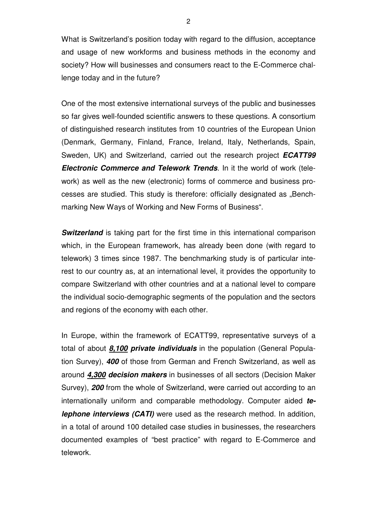What is Switzerland's position today with regard to the diffusion, acceptance and usage of new workforms and business methods in the economy and society? How will businesses and consumers react to the E-Commerce challenge today and in the future?

One of the most extensive international surveys of the public and businesses so far gives well-founded scientific answers to these questions. A consortium of distinguished research institutes from 10 countries of the European Union (Denmark, Germany, Finland, France, Ireland, Italy, Netherlands, Spain, Sweden, UK) and Switzerland, carried out the research project *ECATT99 Electronic Commerce and Telework Trends*. In it the world of work (telework) as well as the new (electronic) forms of commerce and business processes are studied. This study is therefore: officially designated as "Benchmarking New Ways of Working and New Forms of Business".

**Switzerland** is taking part for the first time in this international comparison which, in the European framework, has already been done (with regard to telework) 3 times since 1987. The benchmarking study is of particular interest to our country as, at an international level, it provides the opportunity to compare Switzerland with other countries and at a national level to compare the individual socio-demographic segments of the population and the sectors and regions of the economy with each other.

In Europe, within the framework of ECATT99, representative surveys of a total of about *8,100 private individuals* in the population (General Population Survey), *400* of those from German and French Switzerland, as well as around *4,300 decision makers* in businesses of all sectors (Decision Maker Survey), *200* from the whole of Switzerland, were carried out according to an internationally uniform and comparable methodology. Computer aided *telephone interviews (CATI)* were used as the research method. In addition, in a total of around 100 detailed case studies in businesses, the researchers documented examples of "best practice" with regard to E-Commerce and telework.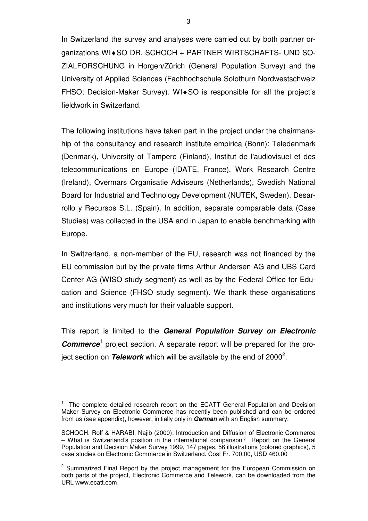In Switzerland the survey and analyses were carried out by both partner organizations WI♦SO DR. SCHOCH + PARTNER WIRTSCHAFTS- UND SO-ZIALFORSCHUNG in Horgen/Zürich (General Population Survey) and the University of Applied Sciences (Fachhochschule Solothurn Nordwestschweiz FHSO; Decision-Maker Survey). WI♦SO is responsible for all the project's fieldwork in Switzerland.

The following institutions have taken part in the project under the chairmanship of the consultancy and research institute empirica (Bonn): Teledenmark (Denmark), University of Tampere (Finland), Institut de l'audiovisuel et des telecommunications en Europe (IDATE, France), Work Research Centre (Ireland), Overmars Organisatie Adviseurs (Netherlands), Swedish National Board for Industrial and Technology Development (NUTEK, Sweden). Desarrollo y Recursos S.L. (Spain). In addition, separate comparable data (Case Studies) was collected in the USA and in Japan to enable benchmarking with Europe.

In Switzerland, a non-member of the EU, research was not financed by the EU commission but by the private firms Arthur Andersen AG and UBS Card Center AG (WISO study segment) as well as by the Federal Office for Education and Science (FHSO study segment). We thank these organisations and institutions very much for their valuable support.

This report is limited to the *General Population Survey on Electronic*  **Commerce**<sup>1</sup> project section. A separate report will be prepared for the project section on *Telework* which will be available by the end of 2000<sup>2</sup>.

 $\overline{a}$ 1 The complete detailed research report on the ECATT General Population and Decision Maker Survey on Electronic Commerce has recently been published and can be ordered from us (see appendix), however, initially only in *German* with an English summary:

SCHOCH, Rolf & HARABI, Najib (2000): Introduction and Diffusion of Electronic Commerce – What is Switzerland's position in the international comparison? Report on the General Population and Decision Maker Survey 1999, 147 pages, 56 illustrations (colored graphics), 5 case studies on Electronic Commerce in Switzerland. Cost Fr. 700.00, USD 460.00

<sup>&</sup>lt;sup>2</sup> Summarized Final Report by the project management for the European Commission on both parts of the project, Electronic Commerce and Telework, can be downloaded from the URL www.ecatt.com.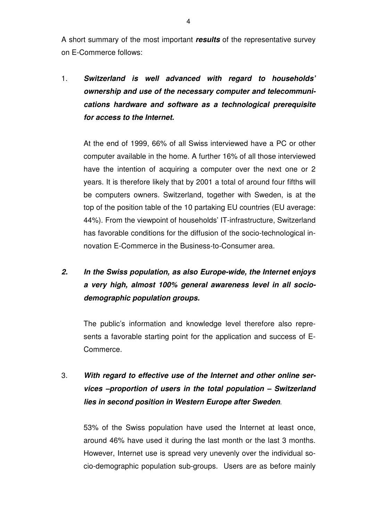A short summary of the most important *results* of the representative survey on E-Commerce follows:

1. *Switzerland is well advanced with regard to households' ownership and use of the necessary computer and telecommunications hardware and software as a technological prerequisite for access to the Internet.*

At the end of 1999, 66% of all Swiss interviewed have a PC or other computer available in the home. A further 16% of all those interviewed have the intention of acquiring a computer over the next one or 2 years. It is therefore likely that by 2001 a total of around four fifths will be computers owners. Switzerland, together with Sweden, is at the top of the position table of the 10 partaking EU countries (EU average: 44%). From the viewpoint of households' IT-infrastructure, Switzerland has favorable conditions for the diffusion of the socio-technological innovation E-Commerce in the Business-to-Consumer area.

# *2. In the Swiss population, as also Europe-wide, the Internet enjoys a very high, almost 100% general awareness level in all sociodemographic population groups.*

The public's information and knowledge level therefore also represents a favorable starting point for the application and success of E-Commerce.

### 3. *With regard to effective use of the Internet and other online services –proportion of users in the total population – Switzerland lies in second position in Western Europe after Sweden*.

53% of the Swiss population have used the Internet at least once, around 46% have used it during the last month or the last 3 months. However, Internet use is spread very unevenly over the individual socio-demographic population sub-groups. Users are as before mainly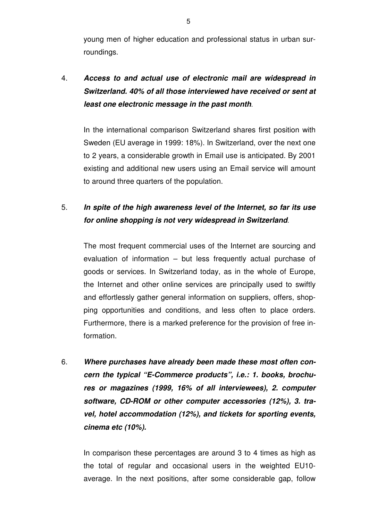young men of higher education and professional status in urban surroundings.

4. *Access to and actual use of electronic mail are widespread in Switzerland. 40% of all those interviewed have received or sent at least one electronic message in the past month*.

In the international comparison Switzerland shares first position with Sweden (EU average in 1999: 18%). In Switzerland, over the next one to 2 years, a considerable growth in Email use is anticipated. By 2001 existing and additional new users using an Email service will amount to around three quarters of the population.

#### 5. *In spite of the high awareness level of the Internet, so far its use for online shopping is not very widespread in Switzerland*.

The most frequent commercial uses of the Internet are sourcing and evaluation of information – but less frequently actual purchase of goods or services. In Switzerland today, as in the whole of Europe, the Internet and other online services are principally used to swiftly and effortlessly gather general information on suppliers, offers, shopping opportunities and conditions, and less often to place orders. Furthermore, there is a marked preference for the provision of free information.

6. *Where purchases have already been made these most often concern the typical "E-Commerce products", i.e.: 1. books, brochures or magazines (1999, 16% of all interviewees), 2. computer software, CD-ROM or other computer accessories (12%), 3. travel, hotel accommodation (12%), and tickets for sporting events, cinema etc (10%).*

In comparison these percentages are around 3 to 4 times as high as the total of regular and occasional users in the weighted EU10 average. In the next positions, after some considerable gap, follow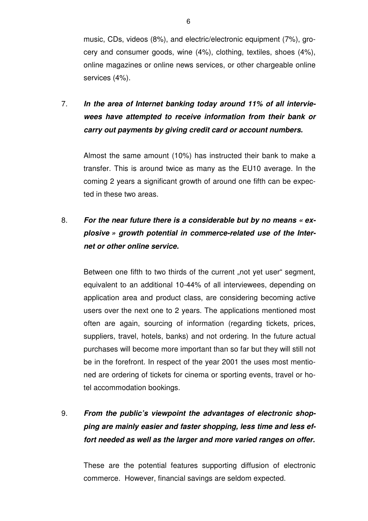music, CDs, videos (8%), and electric/electronic equipment (7%), grocery and consumer goods, wine (4%), clothing, textiles, shoes (4%), online magazines or online news services, or other chargeable online services (4%).

## 7. *In the area of Internet banking today around 11% of all interviewees have attempted to receive information from their bank or carry out payments by giving credit card or account numbers.*

Almost the same amount (10%) has instructed their bank to make a transfer. This is around twice as many as the EU10 average. In the coming 2 years a significant growth of around one fifth can be expected in these two areas.

## 8. *For the near future there is a considerable but by no means « explosive » growth potential in commerce-related use of the Internet or other online service.*

Between one fifth to two thirds of the current "not yet user" segment, equivalent to an additional 10-44% of all interviewees, depending on application area and product class, are considering becoming active users over the next one to 2 years. The applications mentioned most often are again, sourcing of information (regarding tickets, prices, suppliers, travel, hotels, banks) and not ordering. In the future actual purchases will become more important than so far but they will still not be in the forefront. In respect of the year 2001 the uses most mentioned are ordering of tickets for cinema or sporting events, travel or hotel accommodation bookings.

# 9. *From the public's viewpoint the advantages of electronic shopping are mainly easier and faster shopping, less time and less effort needed as well as the larger and more varied ranges on offer.*

These are the potential features supporting diffusion of electronic commerce. However, financial savings are seldom expected.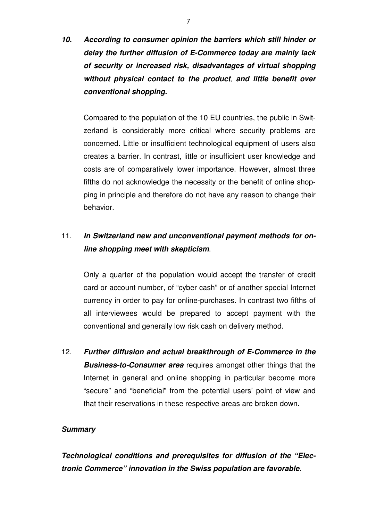*10. According to consumer opinion the barriers which still hinder or delay the further diffusion of E-Commerce today are mainly lack of security or increased risk, disadvantages of virtual shopping without physical contact to the product*, *and little benefit over conventional shopping.* 

Compared to the population of the 10 EU countries, the public in Switzerland is considerably more critical where security problems are concerned. Little or insufficient technological equipment of users also creates a barrier. In contrast, little or insufficient user knowledge and costs are of comparatively lower importance. However, almost three fifths do not acknowledge the necessity or the benefit of online shopping in principle and therefore do not have any reason to change their behavior.

#### 11. *In Switzerland new and unconventional payment methods for online shopping meet with skepticism*.

Only a quarter of the population would accept the transfer of credit card or account number, of "cyber cash" or of another special Internet currency in order to pay for online-purchases. In contrast two fifths of all interviewees would be prepared to accept payment with the conventional and generally low risk cash on delivery method.

12. *Further diffusion and actual breakthrough of E-Commerce in the Business-to-Consumer area* requires amongst other things that the Internet in general and online shopping in particular become more "secure" and "beneficial" from the potential users' point of view and that their reservations in these respective areas are broken down.

#### *Summary*

*Technological conditions and prerequisites for diffusion of the "Electronic Commerce" innovation in the Swiss population are favorable*.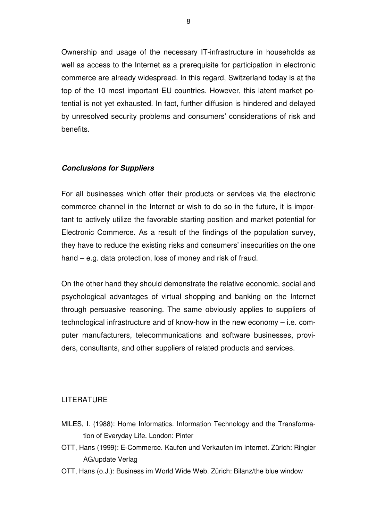Ownership and usage of the necessary IT-infrastructure in households as well as access to the Internet as a prerequisite for participation in electronic commerce are already widespread. In this regard, Switzerland today is at the top of the 10 most important EU countries. However, this latent market potential is not yet exhausted. In fact, further diffusion is hindered and delayed by unresolved security problems and consumers' considerations of risk and benefits.

#### *Conclusions for Suppliers*

For all businesses which offer their products or services via the electronic commerce channel in the Internet or wish to do so in the future, it is important to actively utilize the favorable starting position and market potential for Electronic Commerce. As a result of the findings of the population survey, they have to reduce the existing risks and consumers' insecurities on the one hand – e.g. data protection, loss of money and risk of fraud.

On the other hand they should demonstrate the relative economic, social and psychological advantages of virtual shopping and banking on the Internet through persuasive reasoning. The same obviously applies to suppliers of technological infrastructure and of know-how in the new economy – i.e. computer manufacturers, telecommunications and software businesses, providers, consultants, and other suppliers of related products and services.

#### LITERATURE

- MILES, I. (1988): Home Informatics. Information Technology and the Transformation of Everyday Life. London: Pinter
- OTT, Hans (1999): E-Commerce. Kaufen und Verkaufen im Internet. Zürich: Ringier AG/update Verlag
- OTT, Hans (o.J.): Business im World Wide Web. Zürich: Bilanz/the blue window